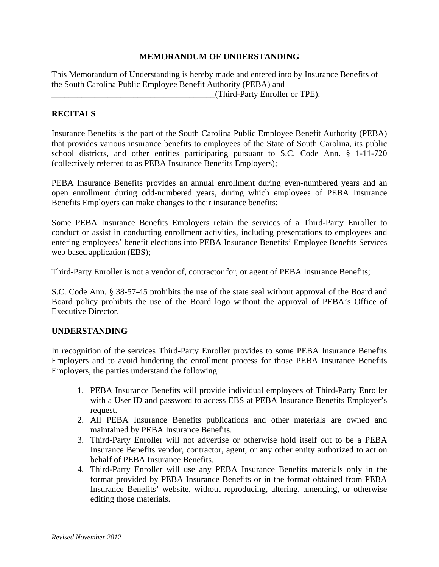## **MEMORANDUM OF UNDERSTANDING**

This Memorandum of Understanding is hereby made and entered into by Insurance Benefits of the South Carolina Public Employee Benefit Authority (PEBA) and \_\_\_\_\_\_\_\_\_\_\_\_\_\_\_\_\_\_\_\_\_\_\_\_\_\_\_\_\_\_\_\_\_\_\_\_\_\_(Third-Party Enroller or TPE).

## **RECITALS**

Insurance Benefits is the part of the South Carolina Public Employee Benefit Authority (PEBA) that provides various insurance benefits to employees of the State of South Carolina, its public school districts, and other entities participating pursuant to S.C. Code Ann. § 1-11-720 (collectively referred to as PEBA Insurance Benefits Employers);

PEBA Insurance Benefits provides an annual enrollment during even-numbered years and an open enrollment during odd-numbered years, during which employees of PEBA Insurance Benefits Employers can make changes to their insurance benefits;

Some PEBA Insurance Benefits Employers retain the services of a Third-Party Enroller to conduct or assist in conducting enrollment activities, including presentations to employees and entering employees' benefit elections into PEBA Insurance Benefits' Employee Benefits Services web-based application (EBS);

Third-Party Enroller is not a vendor of, contractor for, or agent of PEBA Insurance Benefits;

S.C. Code Ann. § 38-57-45 prohibits the use of the state seal without approval of the Board and Board policy prohibits the use of the Board logo without the approval of PEBA's Office of Executive Director.

## **UNDERSTANDING**

In recognition of the services Third-Party Enroller provides to some PEBA Insurance Benefits Employers and to avoid hindering the enrollment process for those PEBA Insurance Benefits Employers, the parties understand the following:

- 1. PEBA Insurance Benefits will provide individual employees of Third-Party Enroller with a User ID and password to access EBS at PEBA Insurance Benefits Employer's request.
- 2. All PEBA Insurance Benefits publications and other materials are owned and maintained by PEBA Insurance Benefits.
- 3. Third-Party Enroller will not advertise or otherwise hold itself out to be a PEBA Insurance Benefits vendor, contractor, agent, or any other entity authorized to act on behalf of PEBA Insurance Benefits.
- 4. Third-Party Enroller will use any PEBA Insurance Benefits materials only in the format provided by PEBA Insurance Benefits or in the format obtained from PEBA Insurance Benefits' website, without reproducing, altering, amending, or otherwise editing those materials.